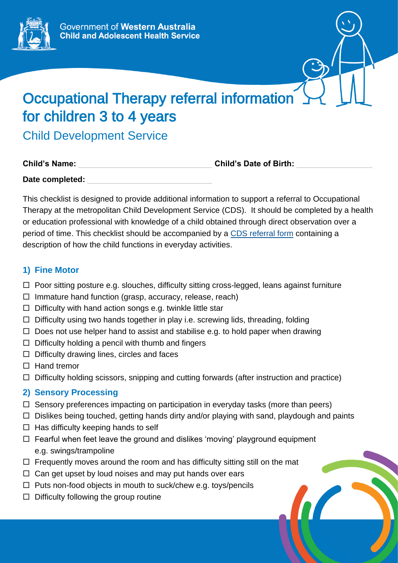

# Occupational Therapy referral information for children 3 to 4 years

Child Development Service

| <b>Child's Name:</b> |  |  |
|----------------------|--|--|
|                      |  |  |

Child's Date of Birth:

Date completed:

This checklist is designed to provide additional information to support a referral to Occupational Therapy at the metropolitan Child Development Service (CDS). It should be completed by a health or education professional with knowledge of a child obtained through direct observation over a period of time. This checklist should be accompanied by a [CDS referral form](https://cahs.health.wa.gov.au/our-services/community-health/child-development-service/eligibility-and-referrals) containing a description of how the child functions in everyday activities.

## **1) Fine Motor**

- $\Box$  Poor sitting posture e.g. slouches, difficulty sitting cross-legged, leans against furniture
- $\Box$  Immature hand function (grasp, accuracy, release, reach)
- $\Box$  Difficulty with hand action songs e.g. twinkle little star
- $\Box$  Difficulty using two hands together in play i.e. screwing lids, threading, folding
- $\Box$  Does not use helper hand to assist and stabilise e.g. to hold paper when drawing
- $\Box$  Difficulty holding a pencil with thumb and fingers
- $\Box$  Difficulty drawing lines, circles and faces
- $\Box$  Hand tremor
- $\Box$  Difficulty holding scissors, snipping and cutting forwards (after instruction and practice)

# **2) Sensory Processing**

- $\Box$  Sensory preferences impacting on participation in everyday tasks (more than peers)
- $\Box$  Dislikes being touched, getting hands dirty and/or playing with sand, playdough and paints
- $\Box$  Has difficulty keeping hands to self
- $\Box$  Fearful when feet leave the ground and dislikes 'moving' playground equipment e.g. swings/trampoline
- $\Box$  Frequently moves around the room and has difficulty sitting still on the mat
- $\Box$  Can get upset by loud noises and may put hands over ears
- $\Box$  Puts non-food objects in mouth to suck/chew e.g. toys/pencils
- $\Box$  Difficulty following the group routine